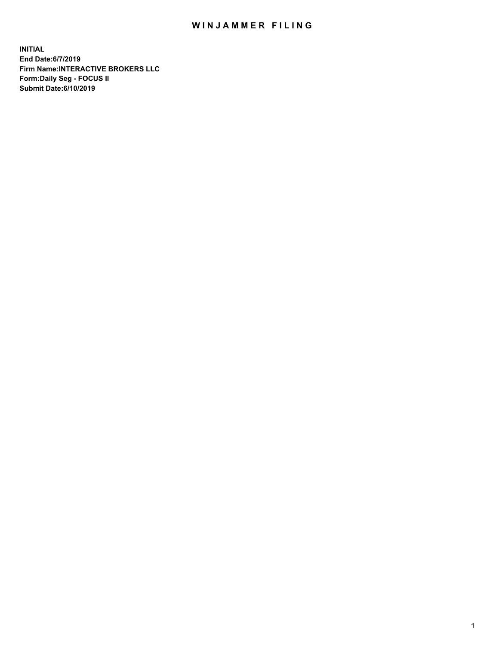## WIN JAMMER FILING

**INITIAL End Date:6/7/2019 Firm Name:INTERACTIVE BROKERS LLC Form:Daily Seg - FOCUS II Submit Date:6/10/2019**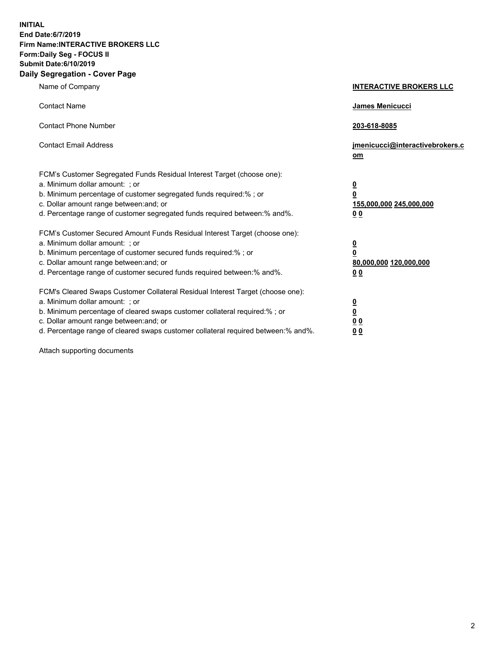**INITIAL End Date:6/7/2019 Firm Name:INTERACTIVE BROKERS LLC Form:Daily Seg - FOCUS II Submit Date:6/10/2019 Daily Segregation - Cover Page**

| Name of Company                                                                                                                                                                                                                                                                                                                | <b>INTERACTIVE BROKERS LLC</b>                                                                 |
|--------------------------------------------------------------------------------------------------------------------------------------------------------------------------------------------------------------------------------------------------------------------------------------------------------------------------------|------------------------------------------------------------------------------------------------|
| <b>Contact Name</b>                                                                                                                                                                                                                                                                                                            | <b>James Menicucci</b>                                                                         |
| <b>Contact Phone Number</b>                                                                                                                                                                                                                                                                                                    | 203-618-8085                                                                                   |
| <b>Contact Email Address</b>                                                                                                                                                                                                                                                                                                   | jmenicucci@interactivebrokers.c<br>om                                                          |
| FCM's Customer Segregated Funds Residual Interest Target (choose one):<br>a. Minimum dollar amount: ; or<br>b. Minimum percentage of customer segregated funds required:% ; or<br>c. Dollar amount range between: and; or<br>d. Percentage range of customer segregated funds required between:% and%.                         | $\overline{\mathbf{0}}$<br>$\overline{\mathbf{0}}$<br>155,000,000 245,000,000<br>00            |
| FCM's Customer Secured Amount Funds Residual Interest Target (choose one):<br>a. Minimum dollar amount: ; or<br>b. Minimum percentage of customer secured funds required:%; or<br>c. Dollar amount range between: and; or<br>d. Percentage range of customer secured funds required between:% and%.                            | $\overline{\mathbf{0}}$<br>$\overline{\mathbf{0}}$<br>80,000,000 120,000,000<br>0 <sub>0</sub> |
| FCM's Cleared Swaps Customer Collateral Residual Interest Target (choose one):<br>a. Minimum dollar amount: ; or<br>b. Minimum percentage of cleared swaps customer collateral required:% ; or<br>c. Dollar amount range between: and; or<br>d. Percentage range of cleared swaps customer collateral required between:% and%. | $\overline{\mathbf{0}}$<br><u>0</u><br>0 <sub>0</sub><br>00                                    |

Attach supporting documents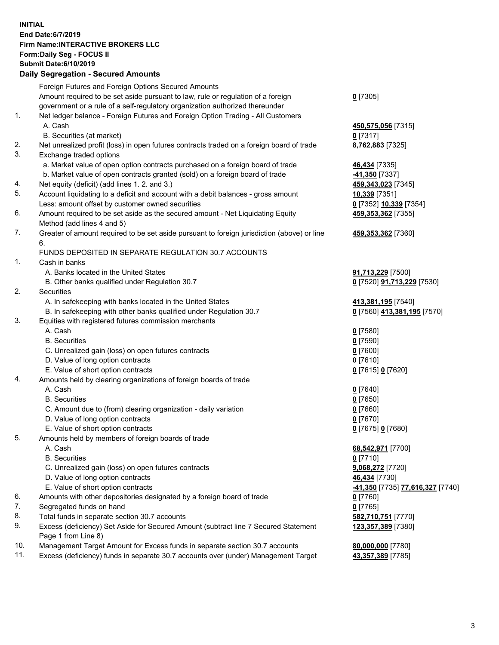## **INITIAL End Date:6/7/2019 Firm Name:INTERACTIVE BROKERS LLC Form:Daily Seg - FOCUS II Submit Date:6/10/2019 Daily Segregation - Secured Amounts**

| Daily Ocglegation - Occured Anioants                                                      |                                                                                                                                                                                                                                                                                                                                                                                                                                                                                                                                                                                                                                                                                                                                                                                                                                                                                                                                                                                                                                                                                                                                                                                                                                                                                                                                                                                                                                                                                                                                                                                                                                                                                                                                                                                                                                                                                                                                                                    |
|-------------------------------------------------------------------------------------------|--------------------------------------------------------------------------------------------------------------------------------------------------------------------------------------------------------------------------------------------------------------------------------------------------------------------------------------------------------------------------------------------------------------------------------------------------------------------------------------------------------------------------------------------------------------------------------------------------------------------------------------------------------------------------------------------------------------------------------------------------------------------------------------------------------------------------------------------------------------------------------------------------------------------------------------------------------------------------------------------------------------------------------------------------------------------------------------------------------------------------------------------------------------------------------------------------------------------------------------------------------------------------------------------------------------------------------------------------------------------------------------------------------------------------------------------------------------------------------------------------------------------------------------------------------------------------------------------------------------------------------------------------------------------------------------------------------------------------------------------------------------------------------------------------------------------------------------------------------------------------------------------------------------------------------------------------------------------|
| Foreign Futures and Foreign Options Secured Amounts                                       |                                                                                                                                                                                                                                                                                                                                                                                                                                                                                                                                                                                                                                                                                                                                                                                                                                                                                                                                                                                                                                                                                                                                                                                                                                                                                                                                                                                                                                                                                                                                                                                                                                                                                                                                                                                                                                                                                                                                                                    |
| Amount required to be set aside pursuant to law, rule or regulation of a foreign          | $0$ [7305]                                                                                                                                                                                                                                                                                                                                                                                                                                                                                                                                                                                                                                                                                                                                                                                                                                                                                                                                                                                                                                                                                                                                                                                                                                                                                                                                                                                                                                                                                                                                                                                                                                                                                                                                                                                                                                                                                                                                                         |
| government or a rule of a self-regulatory organization authorized thereunder              |                                                                                                                                                                                                                                                                                                                                                                                                                                                                                                                                                                                                                                                                                                                                                                                                                                                                                                                                                                                                                                                                                                                                                                                                                                                                                                                                                                                                                                                                                                                                                                                                                                                                                                                                                                                                                                                                                                                                                                    |
| Net ledger balance - Foreign Futures and Foreign Option Trading - All Customers           |                                                                                                                                                                                                                                                                                                                                                                                                                                                                                                                                                                                                                                                                                                                                                                                                                                                                                                                                                                                                                                                                                                                                                                                                                                                                                                                                                                                                                                                                                                                                                                                                                                                                                                                                                                                                                                                                                                                                                                    |
| A. Cash                                                                                   | 450,575,056 [7315]                                                                                                                                                                                                                                                                                                                                                                                                                                                                                                                                                                                                                                                                                                                                                                                                                                                                                                                                                                                                                                                                                                                                                                                                                                                                                                                                                                                                                                                                                                                                                                                                                                                                                                                                                                                                                                                                                                                                                 |
| B. Securities (at market)                                                                 | $0$ [7317]                                                                                                                                                                                                                                                                                                                                                                                                                                                                                                                                                                                                                                                                                                                                                                                                                                                                                                                                                                                                                                                                                                                                                                                                                                                                                                                                                                                                                                                                                                                                                                                                                                                                                                                                                                                                                                                                                                                                                         |
| Net unrealized profit (loss) in open futures contracts traded on a foreign board of trade | 8,762,883 [7325]                                                                                                                                                                                                                                                                                                                                                                                                                                                                                                                                                                                                                                                                                                                                                                                                                                                                                                                                                                                                                                                                                                                                                                                                                                                                                                                                                                                                                                                                                                                                                                                                                                                                                                                                                                                                                                                                                                                                                   |
| Exchange traded options                                                                   |                                                                                                                                                                                                                                                                                                                                                                                                                                                                                                                                                                                                                                                                                                                                                                                                                                                                                                                                                                                                                                                                                                                                                                                                                                                                                                                                                                                                                                                                                                                                                                                                                                                                                                                                                                                                                                                                                                                                                                    |
| a. Market value of open option contracts purchased on a foreign board of trade            | 46,434 [7335]                                                                                                                                                                                                                                                                                                                                                                                                                                                                                                                                                                                                                                                                                                                                                                                                                                                                                                                                                                                                                                                                                                                                                                                                                                                                                                                                                                                                                                                                                                                                                                                                                                                                                                                                                                                                                                                                                                                                                      |
|                                                                                           | -41,350 [7337]                                                                                                                                                                                                                                                                                                                                                                                                                                                                                                                                                                                                                                                                                                                                                                                                                                                                                                                                                                                                                                                                                                                                                                                                                                                                                                                                                                                                                                                                                                                                                                                                                                                                                                                                                                                                                                                                                                                                                     |
|                                                                                           | 459,343,023 [7345]                                                                                                                                                                                                                                                                                                                                                                                                                                                                                                                                                                                                                                                                                                                                                                                                                                                                                                                                                                                                                                                                                                                                                                                                                                                                                                                                                                                                                                                                                                                                                                                                                                                                                                                                                                                                                                                                                                                                                 |
|                                                                                           | 10,339 [7351]                                                                                                                                                                                                                                                                                                                                                                                                                                                                                                                                                                                                                                                                                                                                                                                                                                                                                                                                                                                                                                                                                                                                                                                                                                                                                                                                                                                                                                                                                                                                                                                                                                                                                                                                                                                                                                                                                                                                                      |
|                                                                                           | 0 [7352] 10,339 [7354]                                                                                                                                                                                                                                                                                                                                                                                                                                                                                                                                                                                                                                                                                                                                                                                                                                                                                                                                                                                                                                                                                                                                                                                                                                                                                                                                                                                                                                                                                                                                                                                                                                                                                                                                                                                                                                                                                                                                             |
|                                                                                           | 459, 353, 362 [7355]                                                                                                                                                                                                                                                                                                                                                                                                                                                                                                                                                                                                                                                                                                                                                                                                                                                                                                                                                                                                                                                                                                                                                                                                                                                                                                                                                                                                                                                                                                                                                                                                                                                                                                                                                                                                                                                                                                                                               |
|                                                                                           |                                                                                                                                                                                                                                                                                                                                                                                                                                                                                                                                                                                                                                                                                                                                                                                                                                                                                                                                                                                                                                                                                                                                                                                                                                                                                                                                                                                                                                                                                                                                                                                                                                                                                                                                                                                                                                                                                                                                                                    |
|                                                                                           | 459,353,362 [7360]                                                                                                                                                                                                                                                                                                                                                                                                                                                                                                                                                                                                                                                                                                                                                                                                                                                                                                                                                                                                                                                                                                                                                                                                                                                                                                                                                                                                                                                                                                                                                                                                                                                                                                                                                                                                                                                                                                                                                 |
| 6.                                                                                        |                                                                                                                                                                                                                                                                                                                                                                                                                                                                                                                                                                                                                                                                                                                                                                                                                                                                                                                                                                                                                                                                                                                                                                                                                                                                                                                                                                                                                                                                                                                                                                                                                                                                                                                                                                                                                                                                                                                                                                    |
|                                                                                           |                                                                                                                                                                                                                                                                                                                                                                                                                                                                                                                                                                                                                                                                                                                                                                                                                                                                                                                                                                                                                                                                                                                                                                                                                                                                                                                                                                                                                                                                                                                                                                                                                                                                                                                                                                                                                                                                                                                                                                    |
|                                                                                           |                                                                                                                                                                                                                                                                                                                                                                                                                                                                                                                                                                                                                                                                                                                                                                                                                                                                                                                                                                                                                                                                                                                                                                                                                                                                                                                                                                                                                                                                                                                                                                                                                                                                                                                                                                                                                                                                                                                                                                    |
|                                                                                           | 91,713,229 [7500]                                                                                                                                                                                                                                                                                                                                                                                                                                                                                                                                                                                                                                                                                                                                                                                                                                                                                                                                                                                                                                                                                                                                                                                                                                                                                                                                                                                                                                                                                                                                                                                                                                                                                                                                                                                                                                                                                                                                                  |
|                                                                                           | 0 [7520] 91,713,229 [7530]                                                                                                                                                                                                                                                                                                                                                                                                                                                                                                                                                                                                                                                                                                                                                                                                                                                                                                                                                                                                                                                                                                                                                                                                                                                                                                                                                                                                                                                                                                                                                                                                                                                                                                                                                                                                                                                                                                                                         |
|                                                                                           |                                                                                                                                                                                                                                                                                                                                                                                                                                                                                                                                                                                                                                                                                                                                                                                                                                                                                                                                                                                                                                                                                                                                                                                                                                                                                                                                                                                                                                                                                                                                                                                                                                                                                                                                                                                                                                                                                                                                                                    |
|                                                                                           | 413,381,195 <sub>[7540]</sub>                                                                                                                                                                                                                                                                                                                                                                                                                                                                                                                                                                                                                                                                                                                                                                                                                                                                                                                                                                                                                                                                                                                                                                                                                                                                                                                                                                                                                                                                                                                                                                                                                                                                                                                                                                                                                                                                                                                                      |
|                                                                                           | 0 [7560] 413,381,195 [7570]                                                                                                                                                                                                                                                                                                                                                                                                                                                                                                                                                                                                                                                                                                                                                                                                                                                                                                                                                                                                                                                                                                                                                                                                                                                                                                                                                                                                                                                                                                                                                                                                                                                                                                                                                                                                                                                                                                                                        |
|                                                                                           |                                                                                                                                                                                                                                                                                                                                                                                                                                                                                                                                                                                                                                                                                                                                                                                                                                                                                                                                                                                                                                                                                                                                                                                                                                                                                                                                                                                                                                                                                                                                                                                                                                                                                                                                                                                                                                                                                                                                                                    |
|                                                                                           | $0$ [7580]                                                                                                                                                                                                                                                                                                                                                                                                                                                                                                                                                                                                                                                                                                                                                                                                                                                                                                                                                                                                                                                                                                                                                                                                                                                                                                                                                                                                                                                                                                                                                                                                                                                                                                                                                                                                                                                                                                                                                         |
|                                                                                           | $0$ [7590]                                                                                                                                                                                                                                                                                                                                                                                                                                                                                                                                                                                                                                                                                                                                                                                                                                                                                                                                                                                                                                                                                                                                                                                                                                                                                                                                                                                                                                                                                                                                                                                                                                                                                                                                                                                                                                                                                                                                                         |
|                                                                                           | $0$ [7600]                                                                                                                                                                                                                                                                                                                                                                                                                                                                                                                                                                                                                                                                                                                                                                                                                                                                                                                                                                                                                                                                                                                                                                                                                                                                                                                                                                                                                                                                                                                                                                                                                                                                                                                                                                                                                                                                                                                                                         |
|                                                                                           | $0$ [7610]                                                                                                                                                                                                                                                                                                                                                                                                                                                                                                                                                                                                                                                                                                                                                                                                                                                                                                                                                                                                                                                                                                                                                                                                                                                                                                                                                                                                                                                                                                                                                                                                                                                                                                                                                                                                                                                                                                                                                         |
|                                                                                           | 0 [7615] 0 [7620]                                                                                                                                                                                                                                                                                                                                                                                                                                                                                                                                                                                                                                                                                                                                                                                                                                                                                                                                                                                                                                                                                                                                                                                                                                                                                                                                                                                                                                                                                                                                                                                                                                                                                                                                                                                                                                                                                                                                                  |
|                                                                                           |                                                                                                                                                                                                                                                                                                                                                                                                                                                                                                                                                                                                                                                                                                                                                                                                                                                                                                                                                                                                                                                                                                                                                                                                                                                                                                                                                                                                                                                                                                                                                                                                                                                                                                                                                                                                                                                                                                                                                                    |
|                                                                                           | $0$ [7640]                                                                                                                                                                                                                                                                                                                                                                                                                                                                                                                                                                                                                                                                                                                                                                                                                                                                                                                                                                                                                                                                                                                                                                                                                                                                                                                                                                                                                                                                                                                                                                                                                                                                                                                                                                                                                                                                                                                                                         |
|                                                                                           | $0$ [7650]                                                                                                                                                                                                                                                                                                                                                                                                                                                                                                                                                                                                                                                                                                                                                                                                                                                                                                                                                                                                                                                                                                                                                                                                                                                                                                                                                                                                                                                                                                                                                                                                                                                                                                                                                                                                                                                                                                                                                         |
|                                                                                           | $0$ [7660]                                                                                                                                                                                                                                                                                                                                                                                                                                                                                                                                                                                                                                                                                                                                                                                                                                                                                                                                                                                                                                                                                                                                                                                                                                                                                                                                                                                                                                                                                                                                                                                                                                                                                                                                                                                                                                                                                                                                                         |
|                                                                                           | $0$ [7670]                                                                                                                                                                                                                                                                                                                                                                                                                                                                                                                                                                                                                                                                                                                                                                                                                                                                                                                                                                                                                                                                                                                                                                                                                                                                                                                                                                                                                                                                                                                                                                                                                                                                                                                                                                                                                                                                                                                                                         |
|                                                                                           | 0 [7675] 0 [7680]                                                                                                                                                                                                                                                                                                                                                                                                                                                                                                                                                                                                                                                                                                                                                                                                                                                                                                                                                                                                                                                                                                                                                                                                                                                                                                                                                                                                                                                                                                                                                                                                                                                                                                                                                                                                                                                                                                                                                  |
|                                                                                           |                                                                                                                                                                                                                                                                                                                                                                                                                                                                                                                                                                                                                                                                                                                                                                                                                                                                                                                                                                                                                                                                                                                                                                                                                                                                                                                                                                                                                                                                                                                                                                                                                                                                                                                                                                                                                                                                                                                                                                    |
|                                                                                           | 68,542,971 [7700]                                                                                                                                                                                                                                                                                                                                                                                                                                                                                                                                                                                                                                                                                                                                                                                                                                                                                                                                                                                                                                                                                                                                                                                                                                                                                                                                                                                                                                                                                                                                                                                                                                                                                                                                                                                                                                                                                                                                                  |
|                                                                                           | $0$ [7710]                                                                                                                                                                                                                                                                                                                                                                                                                                                                                                                                                                                                                                                                                                                                                                                                                                                                                                                                                                                                                                                                                                                                                                                                                                                                                                                                                                                                                                                                                                                                                                                                                                                                                                                                                                                                                                                                                                                                                         |
|                                                                                           | 9,068,272 [7720]                                                                                                                                                                                                                                                                                                                                                                                                                                                                                                                                                                                                                                                                                                                                                                                                                                                                                                                                                                                                                                                                                                                                                                                                                                                                                                                                                                                                                                                                                                                                                                                                                                                                                                                                                                                                                                                                                                                                                   |
|                                                                                           | 46,434 [7730]                                                                                                                                                                                                                                                                                                                                                                                                                                                                                                                                                                                                                                                                                                                                                                                                                                                                                                                                                                                                                                                                                                                                                                                                                                                                                                                                                                                                                                                                                                                                                                                                                                                                                                                                                                                                                                                                                                                                                      |
|                                                                                           | <mark>-41,350</mark> [7735] <mark>77,616,327</mark> [7740]                                                                                                                                                                                                                                                                                                                                                                                                                                                                                                                                                                                                                                                                                                                                                                                                                                                                                                                                                                                                                                                                                                                                                                                                                                                                                                                                                                                                                                                                                                                                                                                                                                                                                                                                                                                                                                                                                                         |
|                                                                                           | 0 [7760]                                                                                                                                                                                                                                                                                                                                                                                                                                                                                                                                                                                                                                                                                                                                                                                                                                                                                                                                                                                                                                                                                                                                                                                                                                                                                                                                                                                                                                                                                                                                                                                                                                                                                                                                                                                                                                                                                                                                                           |
|                                                                                           | $0$ [7765]                                                                                                                                                                                                                                                                                                                                                                                                                                                                                                                                                                                                                                                                                                                                                                                                                                                                                                                                                                                                                                                                                                                                                                                                                                                                                                                                                                                                                                                                                                                                                                                                                                                                                                                                                                                                                                                                                                                                                         |
|                                                                                           | 582,710,751 [7770]                                                                                                                                                                                                                                                                                                                                                                                                                                                                                                                                                                                                                                                                                                                                                                                                                                                                                                                                                                                                                                                                                                                                                                                                                                                                                                                                                                                                                                                                                                                                                                                                                                                                                                                                                                                                                                                                                                                                                 |
|                                                                                           | 123,357,389 [7380]                                                                                                                                                                                                                                                                                                                                                                                                                                                                                                                                                                                                                                                                                                                                                                                                                                                                                                                                                                                                                                                                                                                                                                                                                                                                                                                                                                                                                                                                                                                                                                                                                                                                                                                                                                                                                                                                                                                                                 |
|                                                                                           |                                                                                                                                                                                                                                                                                                                                                                                                                                                                                                                                                                                                                                                                                                                                                                                                                                                                                                                                                                                                                                                                                                                                                                                                                                                                                                                                                                                                                                                                                                                                                                                                                                                                                                                                                                                                                                                                                                                                                                    |
|                                                                                           | 80,000,000 [7780]                                                                                                                                                                                                                                                                                                                                                                                                                                                                                                                                                                                                                                                                                                                                                                                                                                                                                                                                                                                                                                                                                                                                                                                                                                                                                                                                                                                                                                                                                                                                                                                                                                                                                                                                                                                                                                                                                                                                                  |
|                                                                                           | 43,357,389 [7785]                                                                                                                                                                                                                                                                                                                                                                                                                                                                                                                                                                                                                                                                                                                                                                                                                                                                                                                                                                                                                                                                                                                                                                                                                                                                                                                                                                                                                                                                                                                                                                                                                                                                                                                                                                                                                                                                                                                                                  |
|                                                                                           | b. Market value of open contracts granted (sold) on a foreign board of trade<br>Net equity (deficit) (add lines 1.2. and 3.)<br>Account liquidating to a deficit and account with a debit balances - gross amount<br>Less: amount offset by customer owned securities<br>Amount required to be set aside as the secured amount - Net Liquidating Equity<br>Method (add lines 4 and 5)<br>Greater of amount required to be set aside pursuant to foreign jurisdiction (above) or line<br>FUNDS DEPOSITED IN SEPARATE REGULATION 30.7 ACCOUNTS<br>Cash in banks<br>A. Banks located in the United States<br>B. Other banks qualified under Regulation 30.7<br>Securities<br>A. In safekeeping with banks located in the United States<br>B. In safekeeping with other banks qualified under Regulation 30.7<br>Equities with registered futures commission merchants<br>A. Cash<br><b>B.</b> Securities<br>C. Unrealized gain (loss) on open futures contracts<br>D. Value of long option contracts<br>E. Value of short option contracts<br>Amounts held by clearing organizations of foreign boards of trade<br>A. Cash<br><b>B.</b> Securities<br>C. Amount due to (from) clearing organization - daily variation<br>D. Value of long option contracts<br>E. Value of short option contracts<br>Amounts held by members of foreign boards of trade<br>A. Cash<br><b>B.</b> Securities<br>C. Unrealized gain (loss) on open futures contracts<br>D. Value of long option contracts<br>E. Value of short option contracts<br>Amounts with other depositories designated by a foreign board of trade<br>Segregated funds on hand<br>Total funds in separate section 30.7 accounts<br>Excess (deficiency) Set Aside for Secured Amount (subtract line 7 Secured Statement<br>Page 1 from Line 8)<br>Management Target Amount for Excess funds in separate section 30.7 accounts<br>Excess (deficiency) funds in separate 30.7 accounts over (under) Management Target |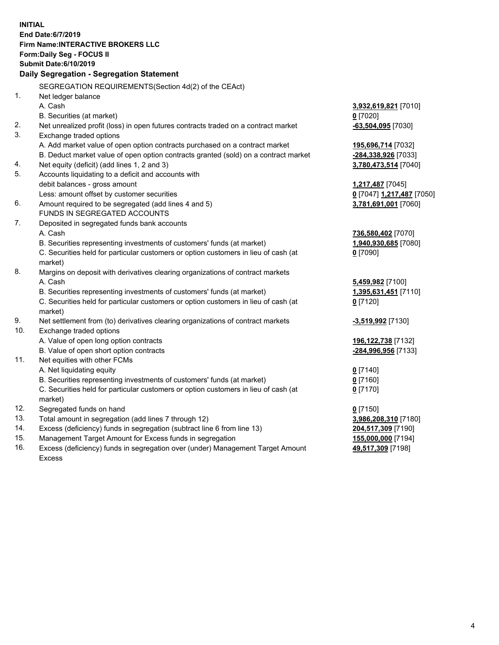**INITIAL End Date:6/7/2019 Firm Name:INTERACTIVE BROKERS LLC Form:Daily Seg - FOCUS II Submit Date:6/10/2019 Daily Segregation - Segregation Statement** SEGREGATION REQUIREMENTS(Section 4d(2) of the CEAct) 1. Net ledger balance A. Cash **3,932,619,821** [7010] B. Securities (at market) **0** [7020] 2. Net unrealized profit (loss) in open futures contracts traded on a contract market **-63,504,095** [7030] 3. Exchange traded options A. Add market value of open option contracts purchased on a contract market **195,696,714** [7032] B. Deduct market value of open option contracts granted (sold) on a contract market **-284,338,926** [7033] 4. Net equity (deficit) (add lines 1, 2 and 3) **3,780,473,514** [7040] 5. Accounts liquidating to a deficit and accounts with debit balances - gross amount **1,217,487** [7045] Less: amount offset by customer securities **0** [7047] **1,217,487** [7050] 6. Amount required to be segregated (add lines 4 and 5) **3,781,691,001** [7060] FUNDS IN SEGREGATED ACCOUNTS 7. Deposited in segregated funds bank accounts A. Cash **736,580,402** [7070] B. Securities representing investments of customers' funds (at market) **1,940,930,685** [7080] C. Securities held for particular customers or option customers in lieu of cash (at market) **0** [7090] 8. Margins on deposit with derivatives clearing organizations of contract markets A. Cash **5,459,982** [7100] B. Securities representing investments of customers' funds (at market) **1,395,631,451** [7110] C. Securities held for particular customers or option customers in lieu of cash (at market) **0** [7120] 9. Net settlement from (to) derivatives clearing organizations of contract markets **-3,519,992** [7130] 10. Exchange traded options A. Value of open long option contracts **196,122,738** [7132] B. Value of open short option contracts **-284,996,956** [7133] 11. Net equities with other FCMs A. Net liquidating equity **0** [7140] B. Securities representing investments of customers' funds (at market) **0** [7160] C. Securities held for particular customers or option customers in lieu of cash (at market) **0** [7170] 12. Segregated funds on hand **0** [7150] 13. Total amount in segregation (add lines 7 through 12) **3,986,208,310** [7180] 14. Excess (deficiency) funds in segregation (subtract line 6 from line 13) **204,517,309** [7190] 15. Management Target Amount for Excess funds in segregation **155,000,000** [7194] **49,517,309** [7198]

16. Excess (deficiency) funds in segregation over (under) Management Target Amount Excess